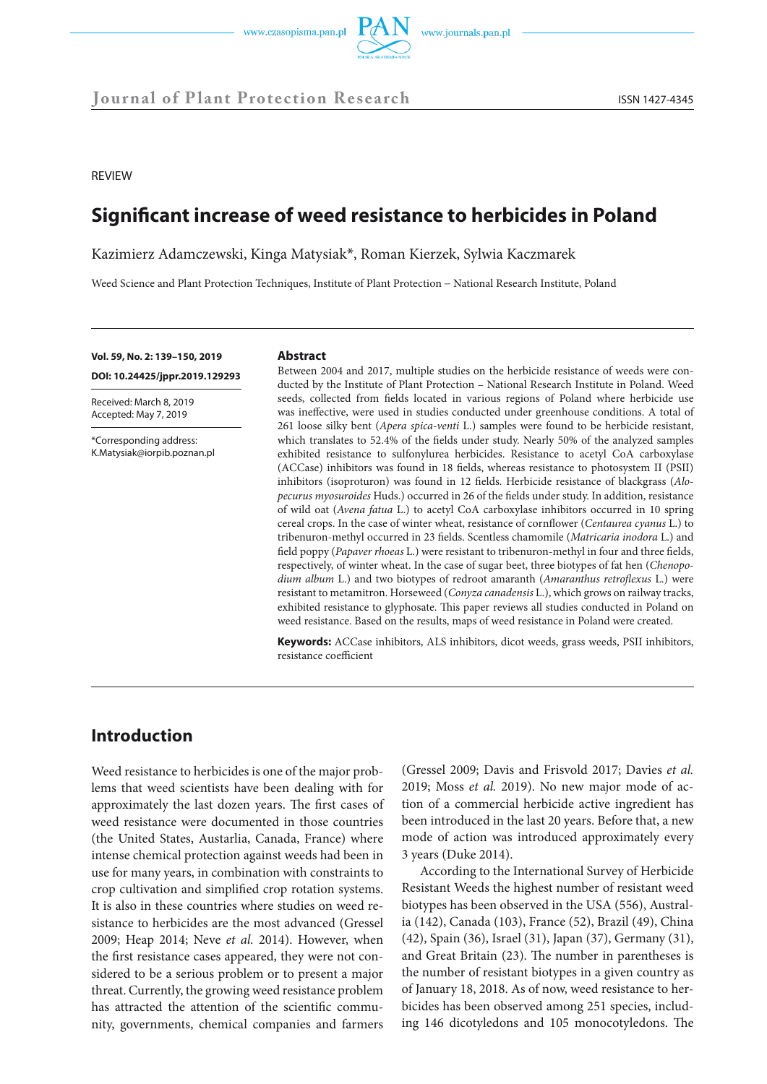

REVIEW

# **Significant increase of weed resistance to herbicides in Poland**

Kazimierz Adamczewski, Kinga Matysiak\*, Roman Kierzek, Sylwia Kaczmarek

Weed Science and Plant Protection Techniques, Institute of Plant Protection − National Research Institute, Poland

**Vol. 59, No. 2: 139–150, 2019** 

**DOI: 10.24425/jppr.2019.129293**

Received: March 8, 2019 Accepted: May 7, 2019

\*Corresponding address: K.Matysiak@iorpib.poznan.pl

#### **Abstract**

Between 2004 and 2017, multiple studies on the herbicide resistance of weeds were conducted by the Institute of Plant Protection – National Research Institute in Poland. Weed seeds, collected from fields located in various regions of Poland where herbicide use was ineffective, were used in studies conducted under greenhouse conditions. A total of 261 loose silky bent (*Apera spica-venti* L.) samples were found to be herbicide resistant, which translates to 52.4% of the fields under study. Nearly 50% of the analyzed samples exhibited resistance to sulfonylurea herbicides. Resistance to acetyl CoA carboxylase (ACCase) inhibitors was found in 18 fields, whereas resistance to photosystem II (PSII) inhibitors (isoproturon) was found in 12 fields. Herbicide resistance of blackgrass (*Alopecurus myosuroides* Huds.) occurred in 26 of the fields under study. In addition, resistance of wild oat (*Avena fatua* L.) to acetyl CoA carboxylase inhibitors occurred in 10 spring cereal crops. In the case of winter wheat, resistance of cornflower (*Centaurea cyanus* L.) to tribenuron-methyl occurred in 23 fields. Scentless chamomile (*Matricaria inodora* L.) and field poppy (*Papaver rhoeas* L.) were resistant to tribenuron-methyl in four and three fields, respectively, of winter wheat. In the case of sugar beet, three biotypes of fat hen (*Chenopodium album* L.) and two biotypes of redroot amaranth (*Amaranthus retroflexus* L.) were resistant to metamitron. Horseweed (*Conyza canadensis* L.), which grows on railway tracks, exhibited resistance to glyphosate. This paper reviews all studies conducted in Poland on weed resistance. Based on the results, maps of weed resistance in Poland were created.

**Keywords:** ACCase inhibitors, ALS inhibitors, dicot weeds, grass weeds, PSII inhibitors, resistance coefficient

# **Introduction**

Weed resistance to herbicides is one of the major problems that weed scientists have been dealing with for approximately the last dozen years. The first cases of weed resistance were documented in those countries (the United States, Austarlia, Canada, France) where intense chemical protection against weeds had been in use for many years, in combination with constraints to crop cultivation and simplified crop rotation systems. It is also in these countries where studies on weed resistance to herbicides are the most advanced (Gressel 2009; Heap 2014; Neve *et al.* 2014). However, when the first resistance cases appeared, they were not considered to be a serious problem or to present a major threat. Currently, the growing weed resistance problem has attracted the attention of the scientific community, governments, chemical companies and farmers

(Gressel 2009; Davis and Frisvold 2017; Davies *et al.* 2019; Moss *et al.* 2019). No new major mode of action of a commercial herbicide active ingredient has been introduced in the last 20 years. Before that, a new mode of action was introduced approximately every 3 years (Duke 2014).

According to the International Survey of Herbicide Resistant Weeds the highest number of resistant weed biotypes has been observed in the USA (556), Australia (142), Canada (103), France (52), Brazil (49), China (42), Spain (36), Israel (31), Japan (37), Germany (31), and Great Britain (23). The number in parentheses is the number of resistant biotypes in a given country as of January 18, 2018. As of now, weed resistance to herbicides has been observed among 251 species, including 146 dicotyledons and 105 monocotyledons. The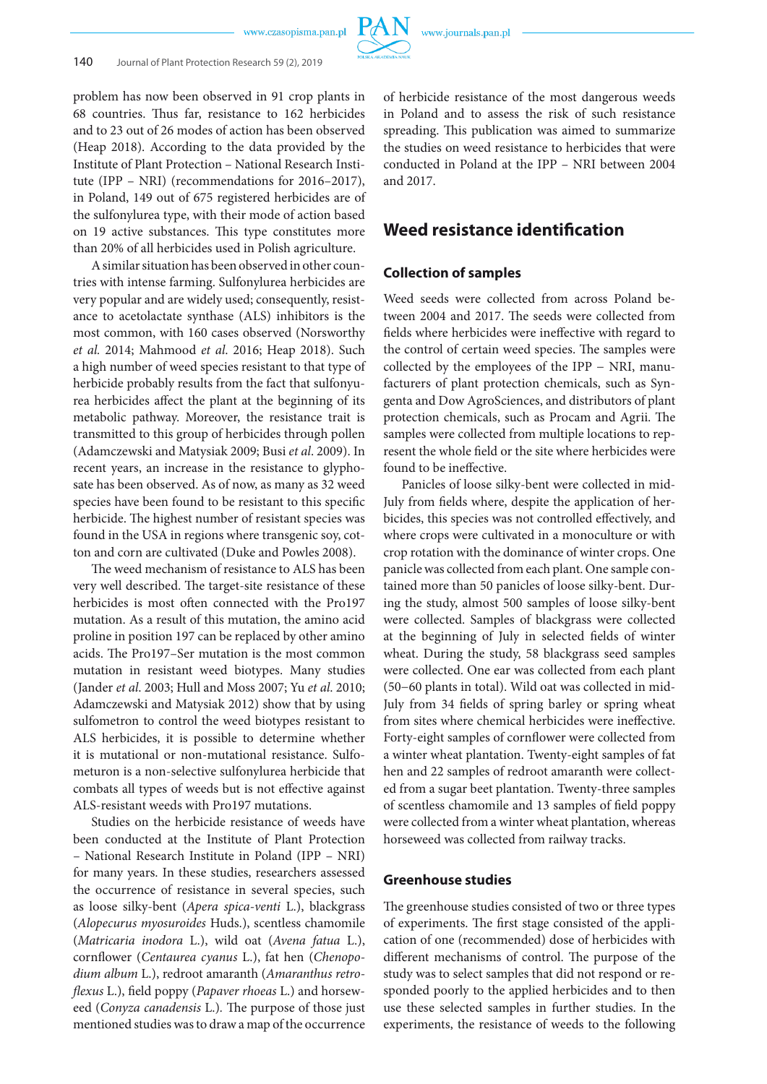problem has now been observed in 91 crop plants in 68 countries. Thus far, resistance to 162 herbicides and to 23 out of 26 modes of action has been observed (Heap 2018). According to the data provided by the Institute of Plant Protection – National Research Institute (IPP – NRI) (recommendations for 2016–2017), in Poland, 149 out of 675 registered herbicides are of the sulfonylurea type, with their mode of action based on 19 active substances. This type constitutes more than 20% of all herbicides used in Polish agriculture.

A similar situation has been observed in other countries with intense farming. Sulfonylurea herbicides are very popular and are widely used; consequently, resistance to acetolactate synthase (ALS) inhibitors is the most common, with 160 cases observed (Norsworthy *et al.* 2014; Mahmood *et al*. 2016; Heap 2018). Such a high number of weed species resistant to that type of herbicide probably results from the fact that sulfonyurea herbicides affect the plant at the beginning of its metabolic pathway. Moreover, the resistance trait is transmitted to this group of herbicides through pollen (Adamczewski and Matysiak 2009; Busi *et al*. 2009). In recent years, an increase in the resistance to glyphosate has been observed. As of now, as many as 32 weed species have been found to be resistant to this specific herbicide. The highest number of resistant species was found in the USA in regions where transgenic soy, cotton and corn are cultivated (Duke and Powles 2008).

The weed mechanism of resistance to ALS has been very well described. The target-site resistance of these herbicides is most often connected with the Pro197 mutation. As a result of this mutation, the amino acid proline in position 197 can be replaced by other amino acids. The Pro197–Ser mutation is the most common mutation in resistant weed biotypes. Many studies (Jander *et al*. 2003; Hull and Moss 2007; Yu *et al*. 2010; Adamczewski and Matysiak 2012) show that by using sulfometron to control the weed biotypes resistant to ALS herbicides, it is possible to determine whether it is mutational or non-mutational resistance. Sulfometuron is a non-selective sulfonylurea herbicide that combats all types of weeds but is not effective against ALS-resistant weeds with Pro197 mutations.

Studies on the herbicide resistance of weeds have been conducted at the Institute of Plant Protection – National Research Institute in Poland (IPP – NRI) for many years. In these studies, researchers assessed the occurrence of resistance in several species, such as loose silky-bent (*Apera spica-venti* L.), blackgrass (*Alopecurus myosuroides* Huds.), scentless chamomile (*Matricaria inodora* L.), wild oat (*Avena fatua* L.), cornflower (*Centaurea cyanus* L.), fat hen (*Chenopodium album* L.), redroot amaranth (*Amaranthus retroflexus* L.), field poppy (*Papaver rhoeas* L.) and horseweed (*Conyza canadensis* L.)*.* The purpose of those just mentioned studies was to draw a map of the occurrence

of herbicide resistance of the most dangerous weeds in Poland and to assess the risk of such resistance spreading. This publication was aimed to summarize the studies on weed resistance to herbicides that were conducted in Poland at the IPP – NRI between 2004 and 2017.

## **Weed resistance identification**

### **Collection of samples**

Weed seeds were collected from across Poland between 2004 and 2017. The seeds were collected from fields where herbicides were ineffective with regard to the control of certain weed species. The samples were collected by the employees of the IPP − NRI, manufacturers of plant protection chemicals, such as Syngenta and Dow AgroSciences, and distributors of plant protection chemicals, such as Procam and Agrii. The samples were collected from multiple locations to represent the whole field or the site where herbicides were found to be ineffective.

Panicles of loose silky-bent were collected in mid-July from fields where, despite the application of herbicides, this species was not controlled effectively, and where crops were cultivated in a monoculture or with crop rotation with the dominance of winter crops. One panicle was collected from each plant. One sample contained more than 50 panicles of loose silky-bent. During the study, almost 500 samples of loose silky-bent were collected. Samples of blackgrass were collected at the beginning of July in selected fields of winter wheat. During the study, 58 blackgrass seed samples were collected. One ear was collected from each plant (50−60 plants in total). Wild oat was collected in mid-July from 34 fields of spring barley or spring wheat from sites where chemical herbicides were ineffective. Forty-eight samples of cornflower were collected from a winter wheat plantation. Twenty-eight samples of fat hen and 22 samples of redroot amaranth were collected from a sugar beet plantation. Twenty-three samples of scentless chamomile and 13 samples of field poppy were collected from a winter wheat plantation, whereas horseweed was collected from railway tracks.

### **Greenhouse studies**

The greenhouse studies consisted of two or three types of experiments. The first stage consisted of the application of one (recommended) dose of herbicides with different mechanisms of control. The purpose of the study was to select samples that did not respond or responded poorly to the applied herbicides and to then use these selected samples in further studies. In the experiments, the resistance of weeds to the following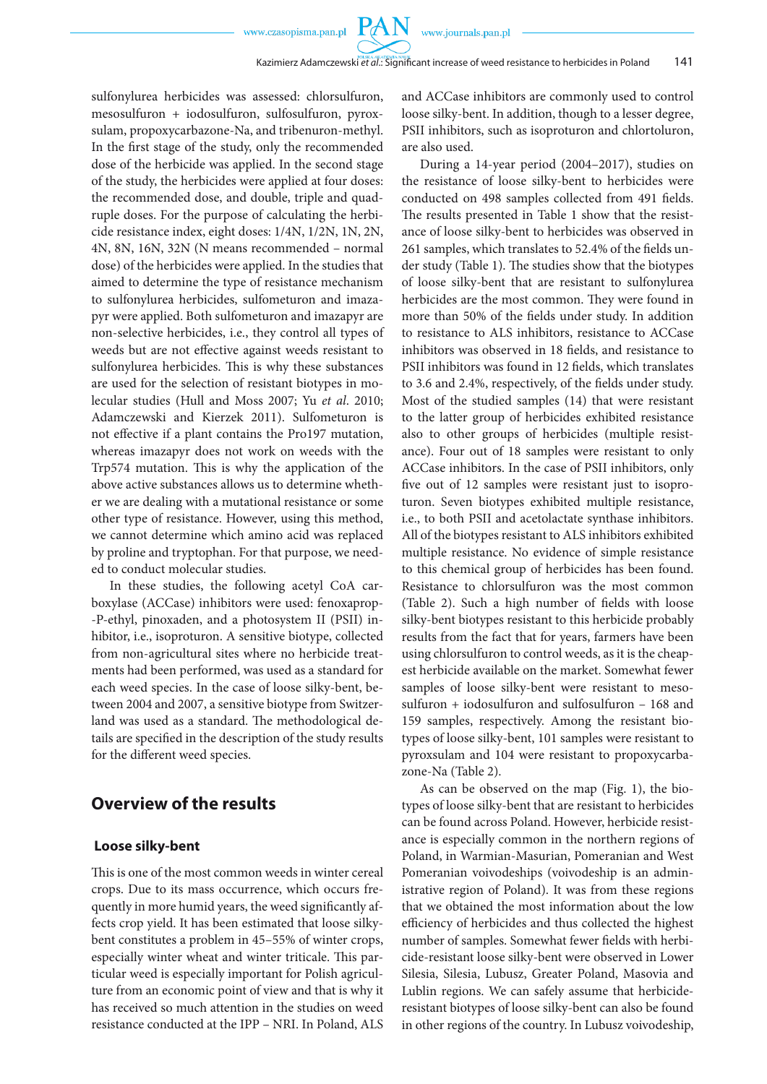**PAN** 

sulfonylurea herbicides was assessed: chlorsulfuron, mesosulfuron + iodosulfuron, sulfosulfuron, pyroxsulam, propoxycarbazone-Na, and tribenuron-methyl. In the first stage of the study, only the recommended dose of the herbicide was applied. In the second stage of the study, the herbicides were applied at four doses: the recommended dose, and double, triple and quadruple doses. For the purpose of calculating the herbicide resistance index, eight doses: 1/4N, 1/2N, 1N, 2N, 4N, 8N, 16N, 32N (N means recommended – normal dose) of the herbicides were applied. In the studies that aimed to determine the type of resistance mechanism to sulfonylurea herbicides, sulfometuron and imazapyr were applied. Both sulfometuron and imazapyr are non-selective herbicides, i.e., they control all types of weeds but are not effective against weeds resistant to sulfonylurea herbicides. This is why these substances are used for the selection of resistant biotypes in molecular studies (Hull and Moss 2007; Yu *et al*. 2010; Adamczewski and Kierzek 2011). Sulfometuron is not effective if a plant contains the Pro197 mutation, whereas imazapyr does not work on weeds with the Trp574 mutation. This is why the application of the above active substances allows us to determine whether we are dealing with a mutational resistance or some other type of resistance. However, using this method, we cannot determine which amino acid was replaced by proline and tryptophan. For that purpose, we needed to conduct molecular studies.

In these studies, the following acetyl CoA carboxylase (ACCase) inhibitors were used: fenoxaprop- -P-ethyl, pinoxaden, and a photosystem II (PSII) inhibitor, i.e., isoproturon. A sensitive biotype, collected from non-agricultural sites where no herbicide treatments had been performed, was used as a standard for each weed species. In the case of loose silky-bent, between 2004 and 2007, a sensitive biotype from Switzerland was used as a standard. The methodological details are specified in the description of the study results for the different weed species.

## **Overview of the results**

#### **Loose silky-bent**

This is one of the most common weeds in winter cereal crops. Due to its mass occurrence, which occurs frequently in more humid years, the weed significantly affects crop yield. It has been estimated that loose silkybent constitutes a problem in 45–55% of winter crops, especially winter wheat and winter triticale. This particular weed is especially important for Polish agriculture from an economic point of view and that is why it has received so much attention in the studies on weed resistance conducted at the IPP – NRI. In Poland, ALS and ACCase inhibitors are commonly used to control loose silky-bent. In addition, though to a lesser degree, PSII inhibitors, such as isoproturon and chlortoluron, are also used.

During a 14-year period (2004–2017), studies on the resistance of loose silky-bent to herbicides were conducted on 498 samples collected from 491 fields. The results presented in Table 1 show that the resistance of loose silky-bent to herbicides was observed in 261 samples, which translates to 52.4% of the fields under study (Table 1). The studies show that the biotypes of loose silky-bent that are resistant to sulfonylurea herbicides are the most common. They were found in more than 50% of the fields under study. In addition to resistance to ALS inhibitors, resistance to ACCase inhibitors was observed in 18 fields, and resistance to PSII inhibitors was found in 12 fields, which translates to 3.6 and 2.4%, respectively, of the fields under study. Most of the studied samples (14) that were resistant to the latter group of herbicides exhibited resistance also to other groups of herbicides (multiple resistance). Four out of 18 samples were resistant to only ACCase inhibitors. In the case of PSII inhibitors, only five out of 12 samples were resistant just to isoproturon. Seven biotypes exhibited multiple resistance, i.e., to both PSII and acetolactate synthase inhibitors. All of the biotypes resistant to ALS inhibitors exhibited multiple resistance. No evidence of simple resistance to this chemical group of herbicides has been found. Resistance to chlorsulfuron was the most common (Table 2). Such a high number of fields with loose silky-bent biotypes resistant to this herbicide probably results from the fact that for years, farmers have been using chlorsulfuron to control weeds, as it is the cheapest herbicide available on the market. Somewhat fewer samples of loose silky-bent were resistant to mesosulfuron + iodosulfuron and sulfosulfuron – 168 and 159 samples, respectively. Among the resistant biotypes of loose silky-bent, 101 samples were resistant to pyroxsulam and 104 were resistant to propoxycarbazone-Na (Table 2).

As can be observed on the map (Fig. 1), the biotypes of loose silky-bent that are resistant to herbicides can be found across Poland. However, herbicide resistance is especially common in the northern regions of Poland, in Warmian-Masurian, Pomeranian and West Pomeranian voivodeships (voivodeship is an administrative region of Poland). It was from these regions that we obtained the most information about the low efficiency of herbicides and thus collected the highest number of samples. Somewhat fewer fields with herbicide-resistant loose silky-bent were observed in Lower Silesia, Silesia, Lubusz, Greater Poland, Masovia and Lublin regions. We can safely assume that herbicideresistant biotypes of loose silky-bent can also be found in other regions of the country. In Lubusz voivodeship,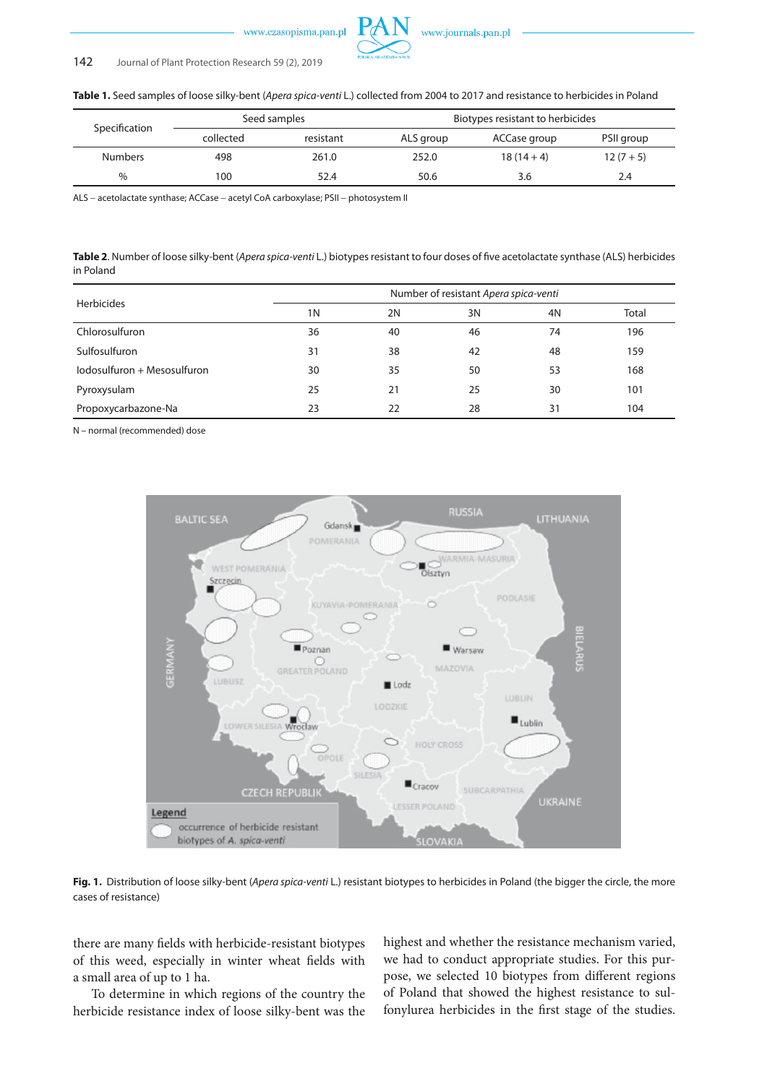

### 142 Journal of Plant Protection Research 59 (2), 2019

**Table 1.** Seed samples of loose silky-bent (*Apera spica-venti* L.) collected from 2004 to 2017 and resistance to herbicides in Poland

| Specification  | Seed samples |           | Biotypes resistant to herbicides |              |            |  |
|----------------|--------------|-----------|----------------------------------|--------------|------------|--|
|                | collected    | resistant | ALS group                        | ACCase group | PSII group |  |
| <b>Numbers</b> | 498          | 261.0     | 252.0                            | $18(14+4)$   | $12(7+5)$  |  |
| $\%$           | 100          | 52.4      | 50.6                             | 3.6          | 2.4        |  |

ALS − acetolactate synthase; ACCase − acetyl CoA carboxylase; PSII − photosystem II

**Table 2**. Number of loose silky-bent (*Apera spica-venti* L.) biotypes resistant to four doses of five acetolactate synthase (ALS) herbicides in Poland

| <b>Herbicides</b>           | Number of resistant Apera spica-venti |    |    |    |       |  |
|-----------------------------|---------------------------------------|----|----|----|-------|--|
|                             | 1 <sub>N</sub>                        | 2N | 3N | 4N | Total |  |
| Chlorosulfuron              | 36                                    | 40 | 46 | 74 | 196   |  |
| Sulfosulfuron               | 31                                    | 38 | 42 | 48 | 159   |  |
| lodosulfuron + Mesosulfuron | 30                                    | 35 | 50 | 53 | 168   |  |
| Pyroxysulam                 | 25                                    | 21 | 25 | 30 | 101   |  |
| Propoxycarbazone-Na         | 23                                    | 22 | 28 | 31 | 104   |  |

N – normal (recommended) dose



**Fig. 1.** Distribution of loose silky-bent (*Apera spica-venti* L.) resistant biotypes to herbicides in Poland (the bigger the circle, the more cases of resistance)

there are many fields with herbicide-resistant biotypes of this weed, especially in winter wheat fields with a small area of up to 1 ha.

To determine in which regions of the country the herbicide resistance index of loose silky-bent was the highest and whether the resistance mechanism varied, we had to conduct appropriate studies. For this purpose, we selected 10 biotypes from different regions of Poland that showed the highest resistance to sulfonylurea herbicides in the first stage of the studies.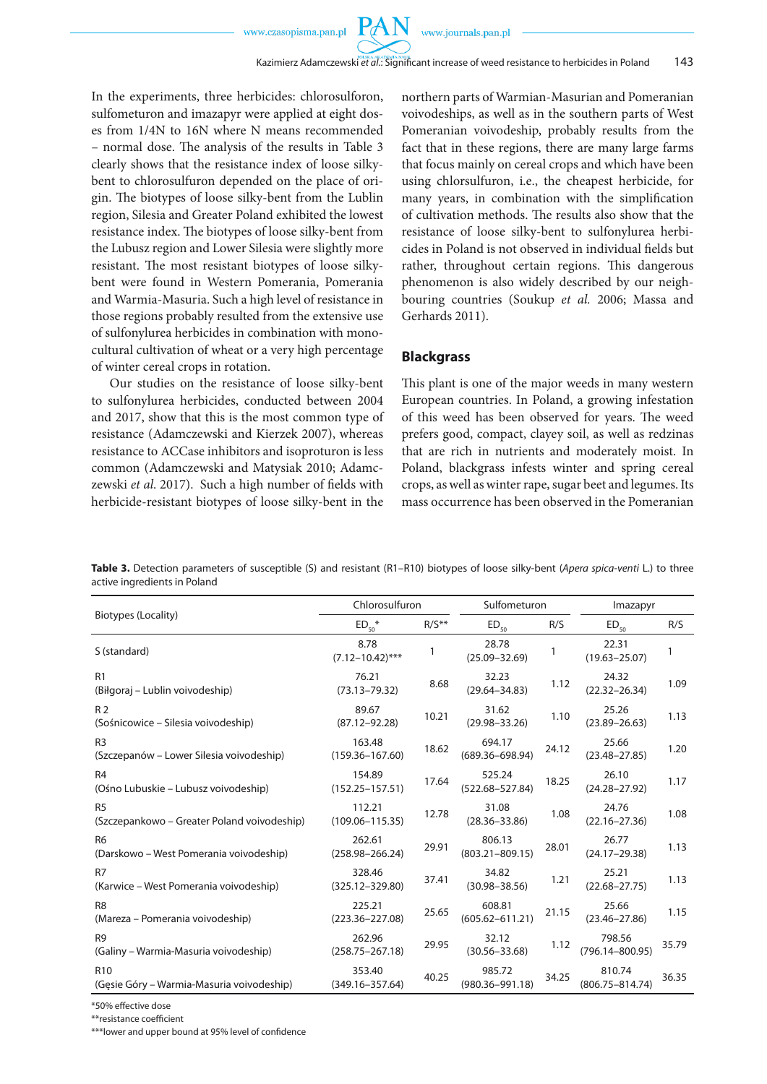In the experiments, three herbicides: chlorosulforon, sulfometuron and imazapyr were applied at eight doses from 1/4N to 16N where N means recommended – normal dose. The analysis of the results in Table 3 clearly shows that the resistance index of loose silkybent to chlorosulfuron depended on the place of origin. The biotypes of loose silky-bent from the Lublin region, Silesia and Greater Poland exhibited the lowest resistance index. The biotypes of loose silky-bent from the Lubusz region and Lower Silesia were slightly more resistant. The most resistant biotypes of loose silkybent were found in Western Pomerania, Pomerania and Warmia-Masuria. Such a high level of resistance in those regions probably resulted from the extensive use of sulfonylurea herbicides in combination with monocultural cultivation of wheat or a very high percentage of winter cereal crops in rotation.

Our studies on the resistance of loose silky-bent to sulfonylurea herbicides, conducted between 2004 and 2017, show that this is the most common type of resistance (Adamczewski and Kierzek 2007), whereas resistance to ACCase inhibitors and isoproturon is less common (Adamczewski and Matysiak 2010; Adamczewski *et al*. 2017). Such a high number of fields with herbicide-resistant biotypes of loose silky-bent in the northern parts of Warmian-Masurian and Pomeranian voivodeships, as well as in the southern parts of West Pomeranian voivodeship, probably results from the fact that in these regions, there are many large farms that focus mainly on cereal crops and which have been using chlorsulfuron, i.e., the cheapest herbicide, for many years, in combination with the simplification of cultivation methods. The results also show that the resistance of loose silky-bent to sulfonylurea herbicides in Poland is not observed in individual fields but rather, throughout certain regions. This dangerous phenomenon is also widely described by our neighbouring countries (Soukup *et al.* 2006; Massa and Gerhards 2011).

### **Blackgrass**

This plant is one of the major weeds in many western European countries. In Poland, a growing infestation of this weed has been observed for years. The weed prefers good, compact, clayey soil, as well as redzinas that are rich in nutrients and moderately moist. In Poland, blackgrass infests winter and spring cereal crops, as well as winter rape, sugar beet and legumes. Its mass occurrence has been observed in the Pomeranian

**Table 3.** Detection parameters of susceptible (S) and resistant (R1–R10) biotypes of loose silky-bent (*Apera spica-venti* L.) to three active ingredients in Poland

|                                                               | Chlorosulfuron                |         | Sulfometuron                  |       | Imazapyr                      |       |
|---------------------------------------------------------------|-------------------------------|---------|-------------------------------|-------|-------------------------------|-------|
| Biotypes (Locality)                                           | $ED_{50}$ *                   | $R/S**$ | $\mathsf{ED}_{\mathsf{50}}$   | R/S   | $ED_{50}$                     | R/S   |
| S (standard)                                                  | 8.78<br>$(7.12 - 10.42)$ ***  |         | 28.78<br>$(25.09 - 32.69)$    |       | 22.31<br>$(19.63 - 25.07)$    |       |
| R1<br>(Biłgoraj – Lublin voivodeship)                         | 76.21<br>$(73.13 - 79.32)$    | 8.68    | 32.23<br>$(29.64 - 34.83)$    | 1.12  | 24.32<br>$(22.32 - 26.34)$    | 1.09  |
| R <sub>2</sub><br>(Sośnicowice – Silesia voivodeship)         | 89.67<br>$(87.12 - 92.28)$    | 10.21   | 31.62<br>$(29.98 - 33.26)$    | 1.10  | 25.26<br>$(23.89 - 26.63)$    | 1.13  |
| R <sub>3</sub><br>(Szczepanów – Lower Silesia voivodeship)    | 163.48<br>$(159.36 - 167.60)$ | 18.62   | 694.17<br>$(689.36 - 698.94)$ | 24.12 | 25.66<br>$(23.48 - 27.85)$    | 1.20  |
| R <sub>4</sub><br>(Ośno Lubuskie – Lubusz voivodeship)        | 154.89<br>$(152.25 - 157.51)$ | 17.64   | 525.24<br>$(522.68 - 527.84)$ | 18.25 | 26.10<br>$(24.28 - 27.92)$    | 1.17  |
| R <sub>5</sub><br>(Szczepankowo – Greater Poland voivodeship) | 112.21<br>$(109.06 - 115.35)$ | 12.78   | 31.08<br>$(28.36 - 33.86)$    | 1.08  | 24.76<br>$(22.16 - 27.36)$    | 1.08  |
| R <sub>6</sub><br>(Darskowo – West Pomerania voivodeship)     | 262.61<br>$(258.98 - 266.24)$ | 29.91   | 806.13<br>$(803.21 - 809.15)$ | 28.01 | 26.77<br>$(24.17 - 29.38)$    | 1.13  |
| R7<br>(Karwice – West Pomerania voivodeship)                  | 328.46<br>$(325.12 - 329.80)$ | 37.41   | 34.82<br>$(30.98 - 38.56)$    | 1.21  | 25.21<br>$(22.68 - 27.75)$    | 1.13  |
| R <sub>8</sub><br>(Mareza - Pomerania voivodeship)            | 225.21<br>$(223.36 - 227.08)$ | 25.65   | 608.81<br>$(605.62 - 611.21)$ | 21.15 | 25.66<br>$(23.46 - 27.86)$    | 1.15  |
| R <sub>9</sub><br>(Galiny – Warmia-Masuria voivodeship)       | 262.96<br>$(258.75 - 267.18)$ | 29.95   | 32.12<br>$(30.56 - 33.68)$    | 1.12  | 798.56<br>$(796.14 - 800.95)$ | 35.79 |
| R <sub>10</sub><br>(Gesie Góry – Warmia-Masuria voivodeship)  | 353.40<br>$(349.16 - 357.64)$ | 40.25   | 985.72<br>$(980.36 - 991.18)$ | 34.25 | 810.74<br>$(806.75 - 814.74)$ | 36.35 |

\*50% effective dose

\*\*resistance coefficient

\*\*\*lower and upper bound at 95% level of confidence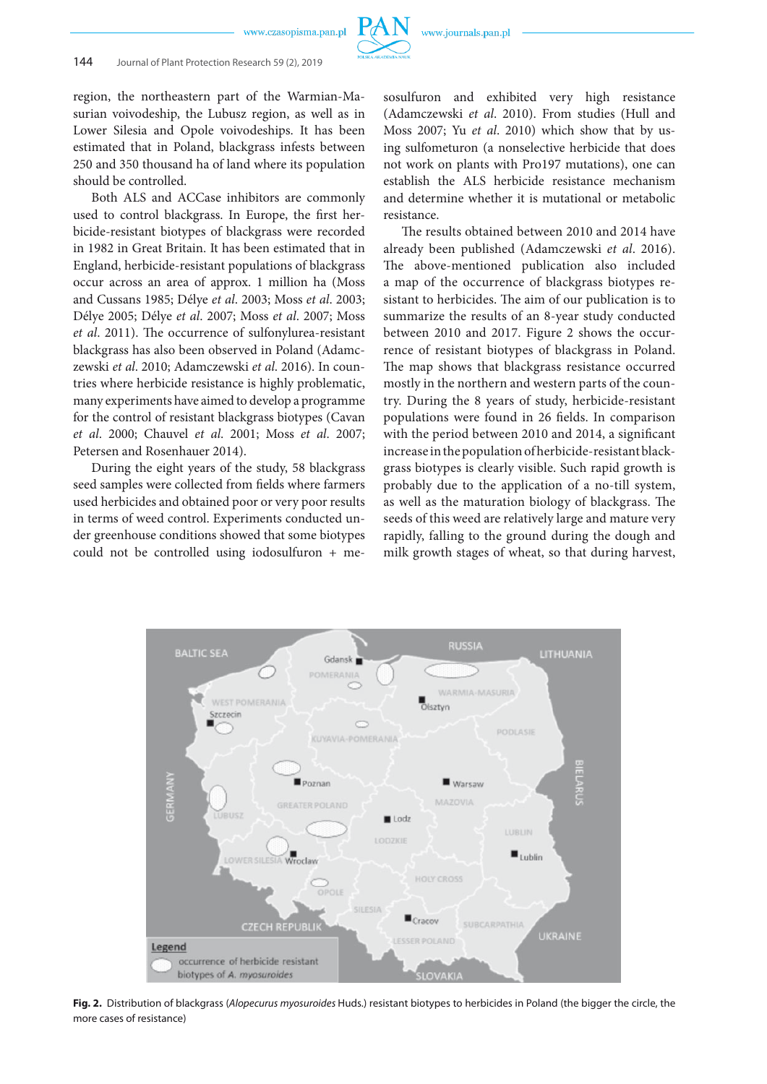

### 144 Journal of Plant Protection Research 59 (2), 2019

region, the northeastern part of the Warmian-Masurian voivodeship, the Lubusz region, as well as in Lower Silesia and Opole voivodeships. It has been estimated that in Poland, blackgrass infests between 250 and 350 thousand ha of land where its population should be controlled.

Both ALS and ACCase inhibitors are commonly used to control blackgrass. In Europe, the first herbicide-resistant biotypes of blackgrass were recorded in 1982 in Great Britain. It has been estimated that in England, herbicide-resistant populations of blackgrass occur across an area of approx. 1 million ha (Moss and Cussans 1985; Délye *et al*. 2003; Moss *et al*. 2003; Délye 2005; Délye *et al*. 2007; Moss *et al*. 2007; Moss *et al*. 2011). The occurrence of sulfonylurea-resistant blackgrass has also been observed in Poland (Adamczewski *et al*. 2010; Adamczewski *et al*. 2016). In countries where herbicide resistance is highly problematic, many experiments have aimed to develop a programme for the control of resistant blackgrass biotypes (Cavan *et al*. 2000; Chauvel *et al*. 2001; Moss *et al*. 2007; Petersen and Rosenhauer 2014).

During the eight years of the study, 58 blackgrass seed samples were collected from fields where farmers used herbicides and obtained poor or very poor results in terms of weed control. Experiments conducted under greenhouse conditions showed that some biotypes could not be controlled using iodosulfuron + mesosulfuron and exhibited very high resistance (Adamczewski *et al*. 2010). From studies (Hull and Moss 2007; Yu *et al*. 2010) which show that by using sulfometuron (a nonselective herbicide that does not work on plants with Pro197 mutations), one can establish the ALS herbicide resistance mechanism and determine whether it is mutational or metabolic resistance.

The results obtained between 2010 and 2014 have already been published (Adamczewski *et al*. 2016). The above-mentioned publication also included a map of the occurrence of blackgrass biotypes resistant to herbicides. The aim of our publication is to summarize the results of an 8-year study conducted between 2010 and 2017. Figure 2 shows the occurrence of resistant biotypes of blackgrass in Poland. The map shows that blackgrass resistance occurred mostly in the northern and western parts of the country. During the 8 years of study, herbicide-resistant populations were found in 26 fields. In comparison with the period between 2010 and 2014, a significant increase in the population of herbicide-resistant blackgrass biotypes is clearly visible. Such rapid growth is probably due to the application of a no-till system, as well as the maturation biology of blackgrass. The seeds of this weed are relatively large and mature very rapidly, falling to the ground during the dough and milk growth stages of wheat, so that during harvest,



**Fig. 2.** Distribution of blackgrass (*Alopecurus myosuroides* Huds.) resistant biotypes to herbicides in Poland (the bigger the circle, the more cases of resistance)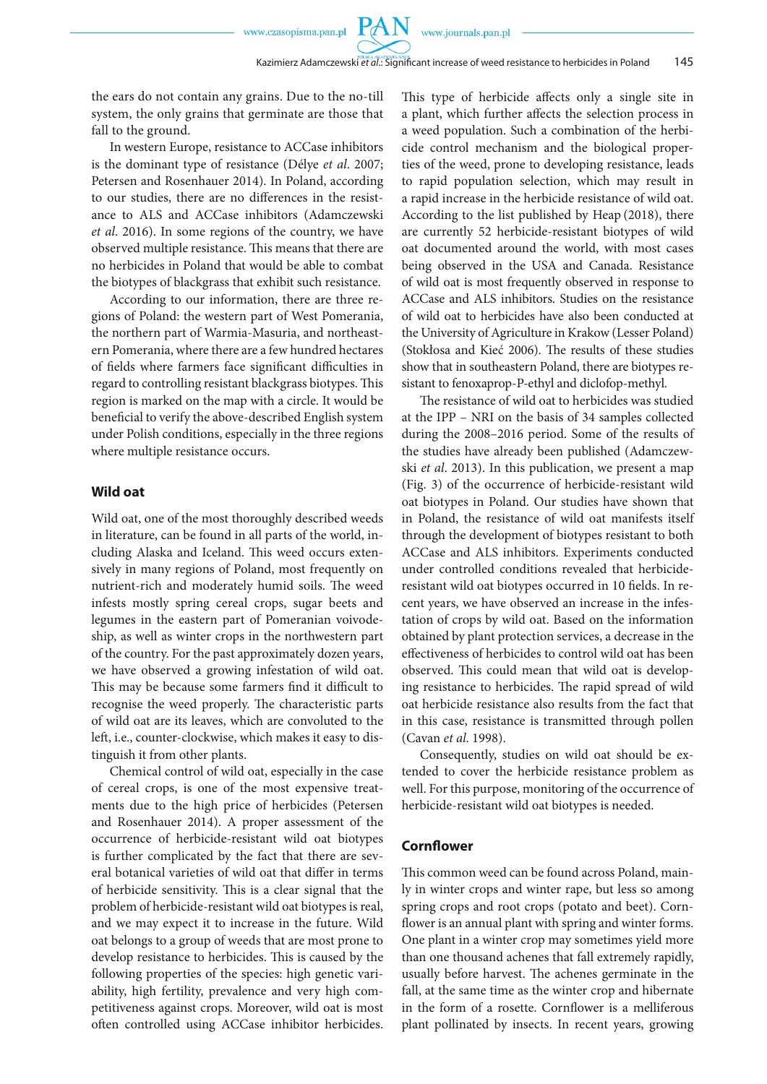the ears do not contain any grains. Due to the no-till system, the only grains that germinate are those that fall to the ground.

In western Europe, resistance to ACCase inhibitors is the dominant type of resistance (Délye *et al*. 2007; Petersen and Rosenhauer 2014). In Poland, according to our studies, there are no differences in the resistance to ALS and ACCase inhibitors (Adamczewski *et al*. 2016). In some regions of the country, we have observed multiple resistance. This means that there are no herbicides in Poland that would be able to combat the biotypes of blackgrass that exhibit such resistance.

According to our information, there are three regions of Poland: the western part of West Pomerania, the northern part of Warmia-Masuria, and northeastern Pomerania, where there are a few hundred hectares of fields where farmers face significant difficulties in regard to controlling resistant blackgrass biotypes. This region is marked on the map with a circle. It would be beneficial to verify the above-described English system under Polish conditions, especially in the three regions where multiple resistance occurs.

### **Wild oat**

Wild oat, one of the most thoroughly described weeds in literature, can be found in all parts of the world, including Alaska and Iceland. This weed occurs extensively in many regions of Poland, most frequently on nutrient-rich and moderately humid soils. The weed infests mostly spring cereal crops, sugar beets and legumes in the eastern part of Pomeranian voivodeship, as well as winter crops in the northwestern part of the country. For the past approximately dozen years, we have observed a growing infestation of wild oat. This may be because some farmers find it difficult to recognise the weed properly. The characteristic parts of wild oat are its leaves, which are convoluted to the left, i.e., counter-clockwise, which makes it easy to distinguish it from other plants.

Chemical control of wild oat, especially in the case of cereal crops, is one of the most expensive treatments due to the high price of herbicides (Petersen and Rosenhauer 2014). A proper assessment of the occurrence of herbicide-resistant wild oat biotypes is further complicated by the fact that there are several botanical varieties of wild oat that differ in terms of herbicide sensitivity. This is a clear signal that the problem of herbicide-resistant wild oat biotypes is real, and we may expect it to increase in the future. Wild oat belongs to a group of weeds that are most prone to develop resistance to herbicides. This is caused by the following properties of the species: high genetic variability, high fertility, prevalence and very high competitiveness against crops. Moreover, wild oat is most often controlled using ACCase inhibitor herbicides. This type of herbicide affects only a single site in a plant, which further affects the selection process in a weed population. Such a combination of the herbicide control mechanism and the biological properties of the weed, prone to developing resistance, leads to rapid population selection, which may result in a rapid increase in the herbicide resistance of wild oat. According to the list published by Heap (2018), there are currently 52 herbicide-resistant biotypes of wild oat documented around the world, with most cases being observed in the USA and Canada. Resistance of wild oat is most frequently observed in response to ACCase and ALS inhibitors. Studies on the resistance of wild oat to herbicides have also been conducted at the University of Agriculture in Krakow (Lesser Poland) (Stokłosa and Kieć 2006). The results of these studies show that in southeastern Poland, there are biotypes resistant to fenoxaprop-P-ethyl and diclofop-methyl.

The resistance of wild oat to herbicides was studied at the IPP – NRI on the basis of 34 samples collected during the 2008–2016 period. Some of the results of the studies have already been published (Adamczewski *et al*. 2013). In this publication, we present a map (Fig. 3) of the occurrence of herbicide-resistant wild oat biotypes in Poland. Our studies have shown that in Poland, the resistance of wild oat manifests itself through the development of biotypes resistant to both ACCase and ALS inhibitors. Experiments conducted under controlled conditions revealed that herbicideresistant wild oat biotypes occurred in 10 fields. In recent years, we have observed an increase in the infestation of crops by wild oat. Based on the information obtained by plant protection services, a decrease in the effectiveness of herbicides to control wild oat has been observed. This could mean that wild oat is developing resistance to herbicides. The rapid spread of wild oat herbicide resistance also results from the fact that in this case, resistance is transmitted through pollen (Cavan *et al*. 1998).

Consequently, studies on wild oat should be extended to cover the herbicide resistance problem as well. For this purpose, monitoring of the occurrence of herbicide-resistant wild oat biotypes is needed.

### **Cornflower**

This common weed can be found across Poland, mainly in winter crops and winter rape, but less so among spring crops and root crops (potato and beet). Cornflower is an annual plant with spring and winter forms. One plant in a winter crop may sometimes yield more than one thousand achenes that fall extremely rapidly, usually before harvest. The achenes germinate in the fall, at the same time as the winter crop and hibernate in the form of a rosette. Cornflower is a melliferous plant pollinated by insects. In recent years, growing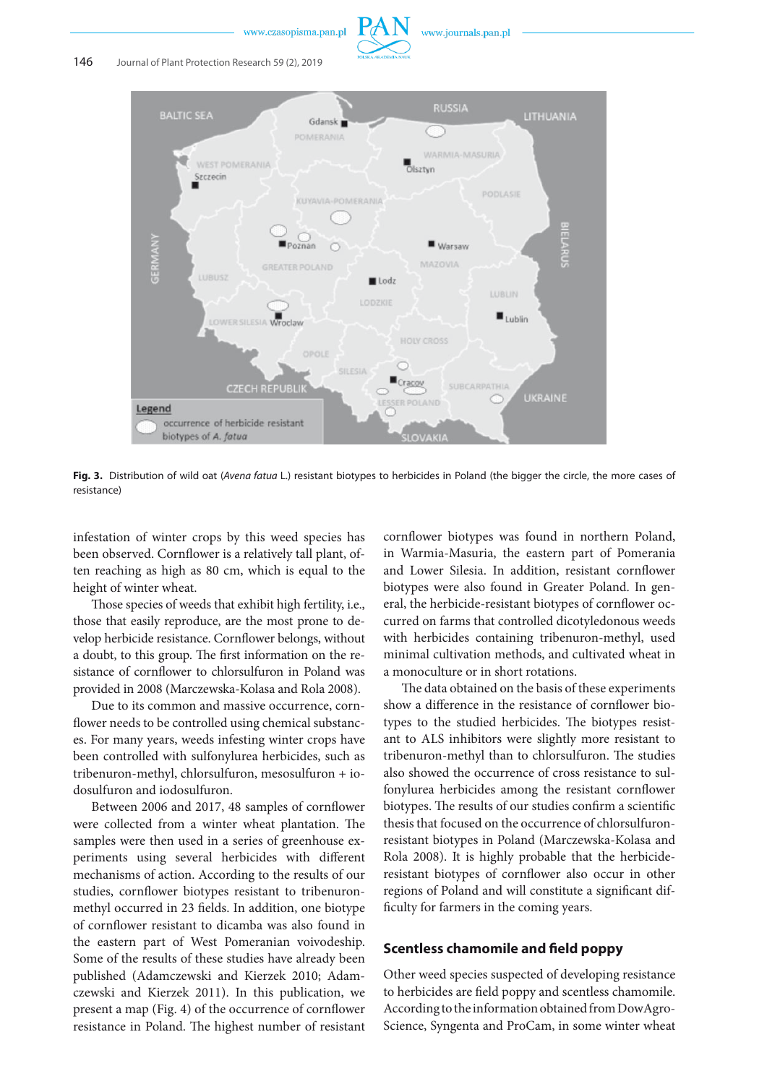



**Fig. 3.** Distribution of wild oat (*Avena fatua* L.) resistant biotypes to herbicides in Poland (the bigger the circle, the more cases of resistance)

infestation of winter crops by this weed species has been observed. Cornflower is a relatively tall plant, often reaching as high as 80 cm, which is equal to the height of winter wheat.

Those species of weeds that exhibit high fertility, i.e., those that easily reproduce, are the most prone to develop herbicide resistance. Cornflower belongs, without a doubt, to this group. The first information on the resistance of cornflower to chlorsulfuron in Poland was provided in 2008 (Marczewska-Kolasa and Rola 2008).

Due to its common and massive occurrence, cornflower needs to be controlled using chemical substances. For many years, weeds infesting winter crops have been controlled with sulfonylurea herbicides, such as tribenuron-methyl, chlorsulfuron, mesosulfuron + iodosulfuron and iodosulfuron.

Between 2006 and 2017, 48 samples of cornflower were collected from a winter wheat plantation. The samples were then used in a series of greenhouse experiments using several herbicides with different mechanisms of action. According to the results of our studies, cornflower biotypes resistant to tribenuronmethyl occurred in 23 fields. In addition, one biotype of cornflower resistant to dicamba was also found in the eastern part of West Pomeranian voivodeship. Some of the results of these studies have already been published (Adamczewski and Kierzek 2010; Adamczewski and Kierzek 2011). In this publication, we present a map (Fig. 4) of the occurrence of cornflower resistance in Poland. The highest number of resistant cornflower biotypes was found in northern Poland, in Warmia-Masuria, the eastern part of Pomerania and Lower Silesia. In addition, resistant cornflower biotypes were also found in Greater Poland. In general, the herbicide-resistant biotypes of cornflower occurred on farms that controlled dicotyledonous weeds with herbicides containing tribenuron-methyl, used minimal cultivation methods, and cultivated wheat in a monoculture or in short rotations.

The data obtained on the basis of these experiments show a difference in the resistance of cornflower biotypes to the studied herbicides. The biotypes resistant to ALS inhibitors were slightly more resistant to tribenuron-methyl than to chlorsulfuron. The studies also showed the occurrence of cross resistance to sulfonylurea herbicides among the resistant cornflower biotypes. The results of our studies confirm a scientific thesis that focused on the occurrence of chlorsulfuronresistant biotypes in Poland (Marczewska-Kolasa and Rola 2008). It is highly probable that the herbicideresistant biotypes of cornflower also occur in other regions of Poland and will constitute a significant difficulty for farmers in the coming years.

## **Scentless chamomile and field poppy**

Other weed species suspected of developing resistance to herbicides are field poppy and scentless chamomile. According to the information obtained from DowAgro-Science, Syngenta and ProCam, in some winter wheat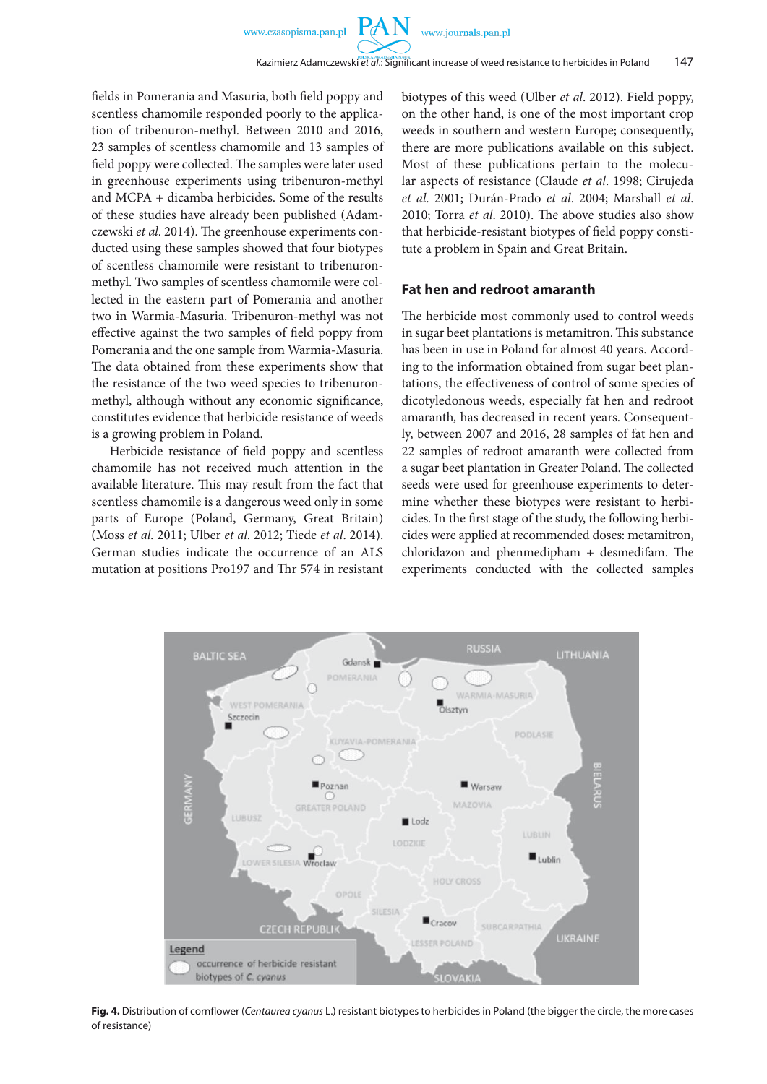$PA$ 

fields in Pomerania and Masuria, both field poppy and scentless chamomile responded poorly to the application of tribenuron-methyl. Between 2010 and 2016, 23 samples of scentless chamomile and 13 samples of field poppy were collected. The samples were later used in greenhouse experiments using tribenuron-methyl and MCPA + dicamba herbicides. Some of the results of these studies have already been published (Adamczewski *et al*. 2014). The greenhouse experiments conducted using these samples showed that four biotypes of scentless chamomile were resistant to tribenuronmethyl. Two samples of scentless chamomile were collected in the eastern part of Pomerania and another two in Warmia-Masuria. Tribenuron-methyl was not effective against the two samples of field poppy from Pomerania and the one sample from Warmia-Masuria. The data obtained from these experiments show that the resistance of the two weed species to tribenuronmethyl, although without any economic significance, constitutes evidence that herbicide resistance of weeds is a growing problem in Poland.

Herbicide resistance of field poppy and scentless chamomile has not received much attention in the available literature. This may result from the fact that scentless chamomile is a dangerous weed only in some parts of Europe (Poland, Germany, Great Britain) (Moss *et al.* 2011; Ulber *et al*. 2012; Tiede *et al*. 2014). German studies indicate the occurrence of an ALS mutation at positions Pro197 and Thr 574 in resistant biotypes of this weed (Ulber *et al*. 2012). Field poppy, on the other hand, is one of the most important crop weeds in southern and western Europe; consequently, there are more publications available on this subject. Most of these publications pertain to the molecular aspects of resistance (Claude *et al*. 1998; Cirujeda *et al*. 2001; Durán-Prado *et al*. 2004; Marshall *et al*. 2010; Torra *et al*. 2010). The above studies also show that herbicide-resistant biotypes of field poppy constitute a problem in Spain and Great Britain.

## **Fat hen and redroot amaranth**

The herbicide most commonly used to control weeds in sugar beet plantations is metamitron. This substance has been in use in Poland for almost 40 years. According to the information obtained from sugar beet plantations, the effectiveness of control of some species of dicotyledonous weeds, especially fat hen and redroot amaranth*,* has decreased in recent years. Consequently, between 2007 and 2016, 28 samples of fat hen and 22 samples of redroot amaranth were collected from a sugar beet plantation in Greater Poland. The collected seeds were used for greenhouse experiments to determine whether these biotypes were resistant to herbicides. In the first stage of the study, the following herbicides were applied at recommended doses: metamitron, chloridazon and phenmedipham + desmedifam. The experiments conducted with the collected samples



**Fig. 4.** Distribution of cornflower (*Centaurea cyanus* L.) resistant biotypes to herbicides in Poland (the bigger the circle, the more cases of resistance)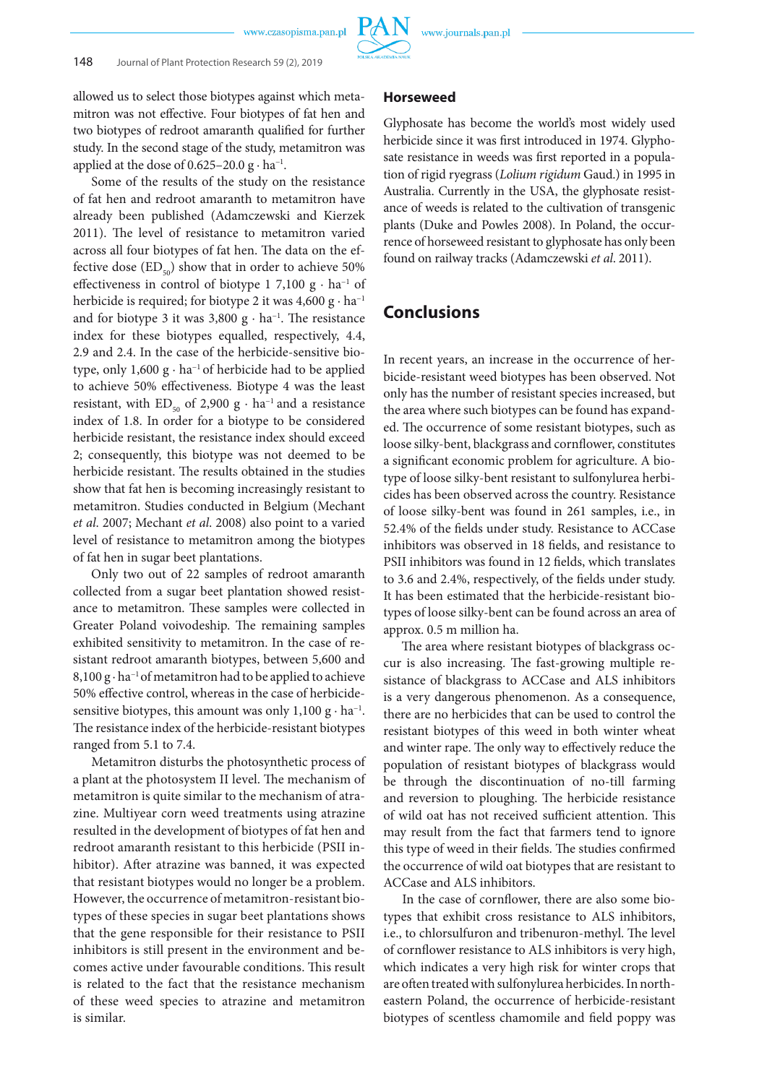

allowed us to select those biotypes against which metamitron was not effective. Four biotypes of fat hen and two biotypes of redroot amaranth qualified for further study. In the second stage of the study, metamitron was applied at the dose of  $0.625-20.0$  g · ha<sup>-1</sup>.

Some of the results of the study on the resistance of fat hen and redroot amaranth to metamitron have already been published (Adamczewski and Kierzek 2011). The level of resistance to metamitron varied across all four biotypes of fat hen. The data on the effective dose  $(ED_{50})$  show that in order to achieve 50% effectiveness in control of biotype 1 7,100  $g \cdot ha^{-1}$  of herbicide is required; for biotype 2 it was  $4,600 \text{ g} \cdot \text{ha}^{-1}$ and for biotype 3 it was 3,800 g · ha−1. The resistance index for these biotypes equalled, respectively, 4.4, 2.9 and 2.4. In the case of the herbicide-sensitive biotype, only 1,600 g · ha−1 of herbicide had to be applied to achieve 50% effectiveness. Biotype 4 was the least resistant, with  $ED_{50}$  of 2,900 g · ha<sup>-1</sup> and a resistance index of 1.8. In order for a biotype to be considered herbicide resistant, the resistance index should exceed 2; consequently, this biotype was not deemed to be herbicide resistant. The results obtained in the studies show that fat hen is becoming increasingly resistant to metamitron. Studies conducted in Belgium (Mechant *et al*. 2007; Mechant *et al*. 2008) also point to a varied level of resistance to metamitron among the biotypes of fat hen in sugar beet plantations.

Only two out of 22 samples of redroot amaranth collected from a sugar beet plantation showed resistance to metamitron. These samples were collected in Greater Poland voivodeship. The remaining samples exhibited sensitivity to metamitron. In the case of resistant redroot amaranth biotypes, between 5,600 and 8,100 g · ha<sup>-1</sup> of metamitron had to be applied to achieve 50% effective control, whereas in the case of herbicidesensitive biotypes, this amount was only  $1,100 \text{ g} \cdot \text{ha}^{-1}$ . The resistance index of the herbicide-resistant biotypes ranged from 5.1 to 7.4.

Metamitron disturbs the photosynthetic process of a plant at the photosystem II level. The mechanism of metamitron is quite similar to the mechanism of atrazine. Multiyear corn weed treatments using atrazine resulted in the development of biotypes of fat hen and redroot amaranth resistant to this herbicide (PSII inhibitor). After atrazine was banned, it was expected that resistant biotypes would no longer be a problem. However, the occurrence of metamitron-resistant biotypes of these species in sugar beet plantations shows that the gene responsible for their resistance to PSII inhibitors is still present in the environment and becomes active under favourable conditions. This result is related to the fact that the resistance mechanism of these weed species to atrazine and metamitron is similar.

#### **Horseweed**

Glyphosate has become the world's most widely used herbicide since it was first introduced in 1974. Glyphosate resistance in weeds was first reported in a population of rigid ryegrass (*Lolium rigidum* Gaud.) in 1995 in Australia. Currently in the USA, the glyphosate resistance of weeds is related to the cultivation of transgenic plants (Duke and Powles 2008). In Poland, the occurrence of horseweed resistant to glyphosate has only been found on railway tracks (Adamczewski *et al*. 2011).

# **Conclusions**

In recent years, an increase in the occurrence of herbicide-resistant weed biotypes has been observed. Not only has the number of resistant species increased, but the area where such biotypes can be found has expanded. The occurrence of some resistant biotypes, such as loose silky-bent, blackgrass and cornflower, constitutes a significant economic problem for agriculture. A biotype of loose silky-bent resistant to sulfonylurea herbicides has been observed across the country. Resistance of loose silky-bent was found in 261 samples, i.e., in 52.4% of the fields under study. Resistance to ACCase inhibitors was observed in 18 fields, and resistance to PSII inhibitors was found in 12 fields, which translates to 3.6 and 2.4%, respectively, of the fields under study. It has been estimated that the herbicide-resistant biotypes of loose silky-bent can be found across an area of approx. 0.5 m million ha.

The area where resistant biotypes of blackgrass occur is also increasing. The fast-growing multiple resistance of blackgrass to ACCase and ALS inhibitors is a very dangerous phenomenon. As a consequence, there are no herbicides that can be used to control the resistant biotypes of this weed in both winter wheat and winter rape. The only way to effectively reduce the population of resistant biotypes of blackgrass would be through the discontinuation of no-till farming and reversion to ploughing. The herbicide resistance of wild oat has not received sufficient attention. This may result from the fact that farmers tend to ignore this type of weed in their fields. The studies confirmed the occurrence of wild oat biotypes that are resistant to ACCase and ALS inhibitors.

 In the case of cornflower, there are also some biotypes that exhibit cross resistance to ALS inhibitors, i.e., to chlorsulfuron and tribenuron-methyl. The level of cornflower resistance to ALS inhibitors is very high, which indicates a very high risk for winter crops that are often treated with sulfonylurea herbicides. In northeastern Poland, the occurrence of herbicide-resistant biotypes of scentless chamomile and field poppy was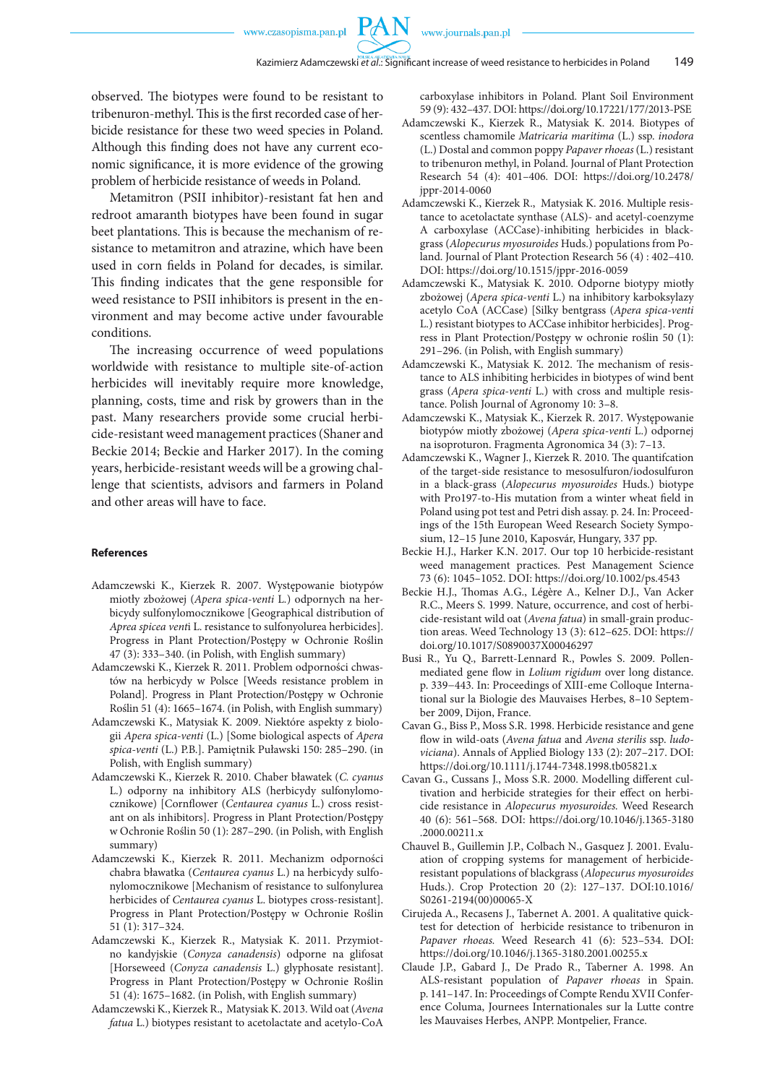observed. The biotypes were found to be resistant to tribenuron-methyl. This is the first recorded case of herbicide resistance for these two weed species in Poland. Although this finding does not have any current economic significance, it is more evidence of the growing problem of herbicide resistance of weeds in Poland.

Metamitron (PSII inhibitor)-resistant fat hen and redroot amaranth biotypes have been found in sugar beet plantations. This is because the mechanism of resistance to metamitron and atrazine, which have been used in corn fields in Poland for decades, is similar. This finding indicates that the gene responsible for weed resistance to PSII inhibitors is present in the environment and may become active under favourable conditions.

The increasing occurrence of weed populations worldwide with resistance to multiple site-of-action herbicides will inevitably require more knowledge, planning, costs, time and risk by growers than in the past. Many researchers provide some crucial herbicide-resistant weed management practices (Shaner and Beckie 2014; Beckie and Harker 2017). In the coming years, herbicide-resistant weeds will be a growing challenge that scientists, advisors and farmers in Poland and other areas will have to face.

#### **References**

- Adamczewski K., Kierzek R. 2007. Występowanie biotypów miotły zbożowej (*Apera spica-venti* L*.*) odpornych na herbicydy sulfonylomocznikowe [Geographical distribution of *Aprea spicea vent*i L. resistance to sulfonyolurea herbicides]. Progress in Plant Protection/Postępy w Ochronie Roślin 47 (3): 333–340. (in Polish, with English summary)
- Adamczewski K., Kierzek R. 2011. Problem odporności chwastów na herbicydy w Polsce [Weeds resistance problem in Poland]. Progress in Plant Protection/Postępy w Ochronie Roślin 51 (4): 1665–1674. (in Polish, with English summary)
- Adamczewski K., Matysiak K. 2009. Niektóre aspekty z biologii *Apera spica-venti* (L.) [Some biological aspects of *Apera spica-venti* (L.) P.B.]. Pamiętnik Puławski 150: 285–290. (in Polish, with English summary)
- Adamczewski K., Kierzek R. 2010. Chaber bławatek (*C. cyanus* L.) odporny na inhibitory ALS (herbicydy sulfonylomocznikowe) [Cornflower (*Centaurea cyanus* L.) cross resistant on als inhibitors]. Progress in Plant Protection/Postępy w Ochronie Roślin 50 (1): 287–290. (in Polish, with English summary)
- Adamczewski K., Kierzek R. 2011. Mechanizm odporności chabra bławatka (*Centaurea cyanus* L.) na herbicydy sulfonylomocznikowe [Mechanism of resistance to sulfonylurea herbicides of *Centaurea cyanus* L. biotypes cross-resistant]. Progress in Plant Protection/Postępy w Ochronie Roślin 51 (1): 317–324.
- Adamczewski K., Kierzek R., Matysiak K. 2011. Przymiotno kandyjskie (*Conyza canadensis*) odporne na glifosat [Horseweed (*Conyza canadensis* L.) glyphosate resistant]. Progress in Plant Protection/Postępy w Ochronie Roślin 51 (4): 1675–1682. (in Polish, with English summary)
- Adamczewski K., Kierzek R., Matysiak K. 2013. Wild oat (*Avena fatua* L.) biotypes resistant to acetolactate and acetylo-CoA

carboxylase inhibitors in Poland. Plant Soil Environment 59 (9): 432–437. DOI: https://doi.org/10.17221/177/2013-PSE

- Adamczewski K., Kierzek R., Matysiak K. 2014. Biotypes of scentless chamomile *Matricaria maritima* (L.) ssp. *inodora* (L.) Dostal and common poppy *Papaver rhoeas* (L.) resistant to tribenuron methyl, in Poland. Journal of Plant Protection Research 54 (4): 401–406. DOI: https://doi.org/10.2478/ jppr-2014-0060
- Adamczewski K., Kierzek R., Matysiak K. 2016. Multiple resistance to acetolactate synthase (ALS)- and acetyl-coenzyme A carboxylase (ACCase)-inhibiting herbicides in blackgrass (*Alopecurus myosuroides* Huds.) populations from Poland. Journal of Plant Protection Research 56 (4) : 402–410. DOI: https://doi.org/10.1515/jppr-2016-0059
- Adamczewski K., Matysiak K. 2010. Odporne biotypy miotły zbożowej (*Apera spica-venti* L.) na inhibitory karboksylazy acetylo CoA (ACCase) [Silky bentgrass (*Apera spica-venti* L.) resistant biotypes to ACCase inhibitor herbicides]. Progress in Plant Protection/Postępy w ochronie roślin 50 (1): 291–296. (in Polish, with English summary)
- Adamczewski K., Matysiak K. 2012. The mechanism of resistance to ALS inhibiting herbicides in biotypes of wind bent grass (*Apera spica-venti* L.) with cross and multiple resistance. Polish Journal of Agronomy 10: 3–8.
- Adamczewski K., Matysiak K., Kierzek R. 2017. Występowanie biotypów miotły zbożowej (*Apera spica-venti* L.) odpornej na isoproturon. Fragmenta Agronomica 34 (3): 7–13.
- Adamczewski K., Wagner J., Kierzek R. 2010. The quantifcation of the target-side resistance to mesosulfuron/iodosulfuron in a black-grass (*Alopecurus myosuroides* Huds.) biotype with Pro197-to-His mutation from a winter wheat field in Poland using pot test and Petri dish assay. p. 24. In: Proceedings of the 15th European Weed Research Society Symposium, 12–15 June 2010, Kaposvár, Hungary, 337 pp.
- Beckie H.J., Harker K.N. 2017. Our top 10 herbicide-resistant weed management practices. Pest Management Science 73 (6): 1045–1052. DOI: https://doi.org/10.1002/ps.4543
- Beckie H.J., Thomas A.G., Légère A., Kelner D.J., Van Acker R.C., Meers S. 1999. Nature, occurrence, and cost of herbicide-resistant wild oat (*Avena fatua*) in small-grain production areas. Weed Technology 13 (3): 612–625. DOI: https:// doi.org/10.1017/S0890037X00046297
- Busi R., Yu Q., Barrett-Lennard R., Powles S. 2009. Pollenmediated gene flow in *Lolium rigidum* over long distance. p. 339−443. In: Proceedings of XIII-eme Colloque International sur la Biologie des Mauvaises Herbes, 8–10 September 2009, Dijon, France.
- Cavan G., Biss P., Moss S.R. 1998. Herbicide resistance and gene flow in wild-oats (*Avena fatua* and *Avena sterilis* ssp. *ludoviciana*). Annals of Applied Biology 133 (2): 207–217. DOI: https://doi.org/10.1111/j.1744-7348.1998.tb05821.x
- Cavan G., Cussans J., Moss S.R. 2000. Modelling different cultivation and herbicide strategies for their effect on herbicide resistance in *Alopecurus myosuroides.* Weed Research 40 (6): 561–568. DOI: https://doi.org/10.1046/j.1365-3180 .2000.00211.x
- Chauvel B., Guillemin J.P., Colbach N., Gasquez J. 2001. Evaluation of cropping systems for management of herbicideresistant populations of blackgrass (*Alopecurus myosuroides*  Huds.). Crop Protection 20 (2): 127–137. DOI:10.1016/ S0261-2194(00)00065-X
- Cirujeda A., Recasens J., Tabernet A. 2001. A qualitative quicktest for detection of herbicide resistance to tribenuron in *Papaver rhoeas.* Weed Research 41 (6): 523–534. DOI: https://doi.org/10.1046/j.1365-3180.2001.00255.x
- Claude J.P., Gabard J., De Prado R., Taberner A. 1998. An ALS-resistant population of *Papaver rhoeas* in Spain. p. 141–147. In: Proceedings of Compte Rendu XVII Conference Columa, Journees Internationales sur la Lutte contre les Mauvaises Herbes, ANPP. Montpelier, France.